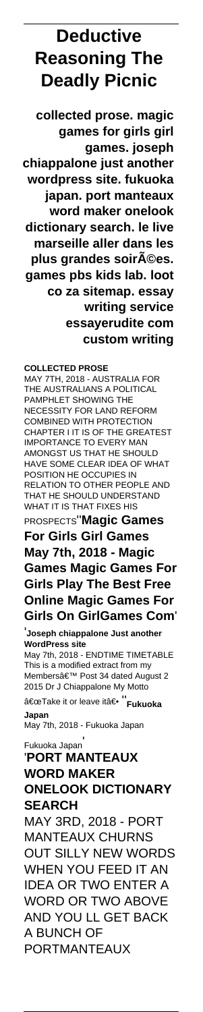# **Deductive Reasoning The Deadly Picnic**

**collected prose. magic games for girls girl games. joseph chiappalone just another wordpress site. fukuoka japan. port manteaux word maker onelook dictionary search. le live marseille aller dans les plus grandes soirA©es. games pbs kids lab. loot co za sitemap. essay writing service essayerudite com custom writing**

## **COLLECTED PROSE**

MAY 7TH, 2018 - AUSTRALIA FOR THE AUSTRALIANS A POLITICAL PAMPHLET SHOWING THE NECESSITY FOR LAND REFORM COMBINED WITH PROTECTION CHAPTER I IT IS OF THE GREATEST IMPORTANCE TO EVERY MAN AMONGST US THAT HE SHOULD HAVE SOME CLEAR IDEA OF WHAT POSITION HE OCCUPIES IN RELATION TO OTHER PEOPLE AND THAT HE SHOULD UNDERSTAND WHAT IT IS THAT FIXES HIS PROSPECTS''**Magic Games For Girls Girl Games May 7th, 2018 - Magic Games Magic Games For Girls Play The Best Free Online Magic Games For Girls On GirlGames Com**'

'**Joseph chiappalone Just another WordPress site**

May 7th, 2018 - ENDTIME TIMETABLE This is a modified extract from my Members' Post 34 dated August 2 2015 Dr J Chiappalone My Motto

"Take it or leave itâ€<sup>• ''</sup>Fukuoka

**Japan** May 7th, 2018 - Fukuoka Japan

Fukuoka Japan' '**PORT MANTEAUX**

## **WORD MAKER ONELOOK DICTIONARY SEARCH** MAY 3RD, 2018 - PORT MANTEAUX CHURNS OUT SILLY NEW WORDS WHEN YOU FEED IT AN IDEA OR TWO ENTER A WORD OR TWO ABOVE AND YOU LL GET BACK A BUNCH OF PORTMANTEAUX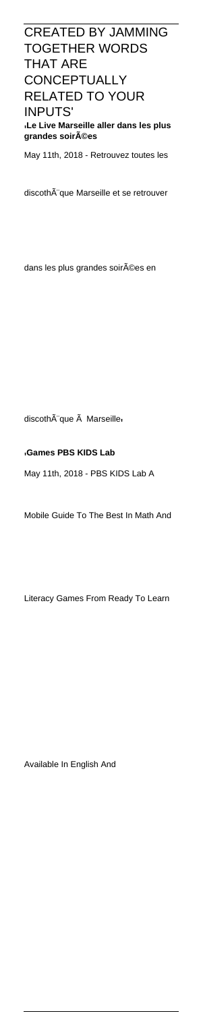CREATED BY JAMMING TOGETHER WORDS THAT ARE **CONCEPTUALLY** RELATED TO YOUR INPUTS' '**Le Live Marseille aller dans les plus** grandes soirA©es

May 11th, 2018 - Retrouvez toutes les

discothà que Marseille et se retrouver

dans les plus grandes soirées en

discoth que Marseille

## '**Games PBS KIDS Lab**

May 11th, 2018 - PBS KIDS Lab A

Mobile Guide To The Best In Math And

Literacy Games From Ready To Learn

Available In English And